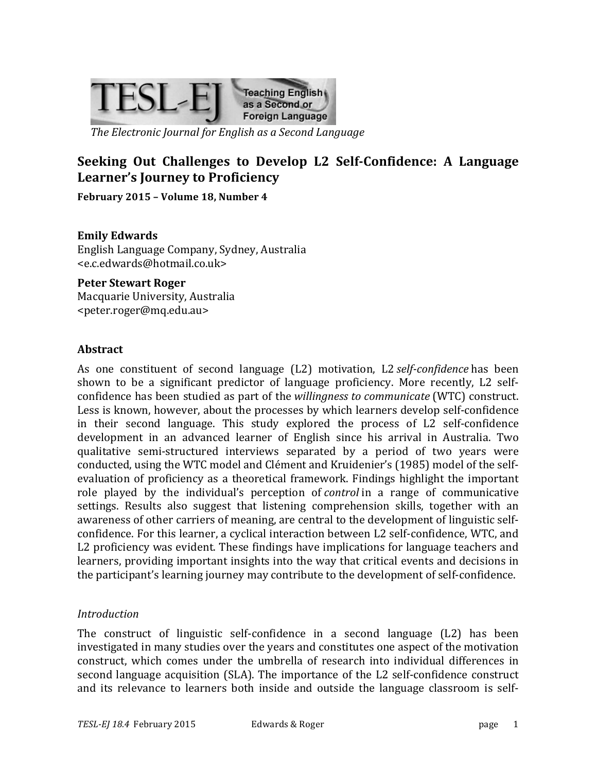

*The Electronic Journal for English as a Second Language*

# **Seeking Out Challenges to Develop L2 Self-Confidence: A Language** Learner's Journey to Proficiency

February 2015 - Volume 18, Number 4

#### **Emily Edwards**

English Language Company, Sydney, Australia <e.c.edwards@hotmail.co.uk>

#### **Peter Stewart Roger**

Macquarie University, Australia <peter.roger@mq.edu.au>

#### **Abstract**

As one constituent of second language (L2) motivation, L2 *self-confidence* has been shown to be a significant predictor of language proficiency. More recently, L2 selfconfidence has been studied as part of the *willingness to communicate* (WTC) construct. Less is known, however, about the processes by which learners develop self-confidence in their second language. This study explored the process of  $L2$  self-confidence development in an advanced learner of English since his arrival in Australia. Two qualitative semi-structured interviews separated by a period of two years were conducted, using the WTC model and Clément and Kruidenier's (1985) model of the selfevaluation of proficiency as a theoretical framework. Findings highlight the important role played by the individual's perception of *control* in a range of communicative settings. Results also suggest that listening comprehension skills, together with an awareness of other carriers of meaning, are central to the development of linguistic selfconfidence. For this learner, a cyclical interaction between L2 self-confidence, WTC, and L2 proficiency was evident. These findings have implications for language teachers and learners, providing important insights into the way that critical events and decisions in the participant's learning journey may contribute to the development of self-confidence.

#### *Introduction*

The construct of linguistic self-confidence in a second language  $(L2)$  has been investigated in many studies over the years and constitutes one aspect of the motivation construct, which comes under the umbrella of research into individual differences in second language acquisition (SLA). The importance of the L2 self-confidence construct and its relevance to learners both inside and outside the language classroom is self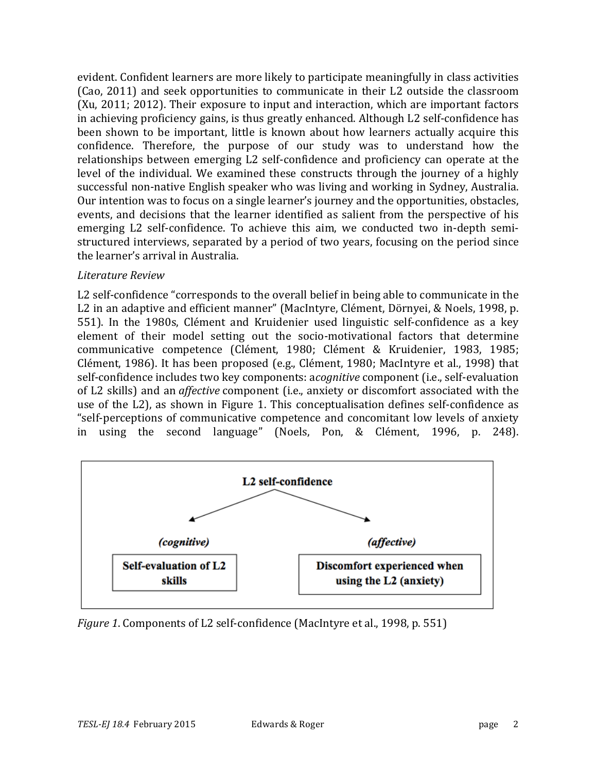evident. Confident learners are more likely to participate meaningfully in class activities (Cao, 2011) and seek opportunities to communicate in their L2 outside the classroom  $(Xu, 2011; 2012)$ . Their exposure to input and interaction, which are important factors in achieving proficiency gains, is thus greatly enhanced. Although L2 self-confidence has been shown to be important, little is known about how learners actually acquire this confidence. Therefore, the purpose of our study was to understand how the relationships between emerging L2 self-confidence and proficiency can operate at the level of the individual. We examined these constructs through the journey of a highly successful non-native English speaker who was living and working in Sydney, Australia. Our intention was to focus on a single learner's journey and the opportunities, obstacles, events, and decisions that the learner identified as salient from the perspective of his emerging L2 self-confidence. To achieve this aim, we conducted two in-depth semistructured interviews, separated by a period of two years, focusing on the period since the learner's arrival in Australia.

## *Literature Review*

L2 self-confidence "corresponds to the overall belief in being able to communicate in the L2 in an adaptive and efficient manner" (MacIntyre, Clément, Dörnyei, & Noels, 1998, p. 551). In the 1980s, Clément and Kruidenier used linguistic self-confidence as a key element of their model setting out the socio-motivational factors that determine communicative competence (Clément, 1980; Clément & Kruidenier, 1983, 1985; Clément, 1986). It has been proposed (e.g., Clément, 1980; MacIntyre et al., 1998) that self-confidence includes two key components: *acognitive* component (i.e., self-evaluation of L2 skills) and an *affective* component (i.e., anxiety or discomfort associated with the use of the L2), as shown in Figure 1. This conceptualisation defines self-confidence as "self-perceptions of communicative competence and concomitant low levels of anxiety in using the second language" (Noels, Pon, & Clément, 1996, p. 248).



*Figure* 1. Components of L2 self-confidence (MacIntyre et al., 1998, p. 551)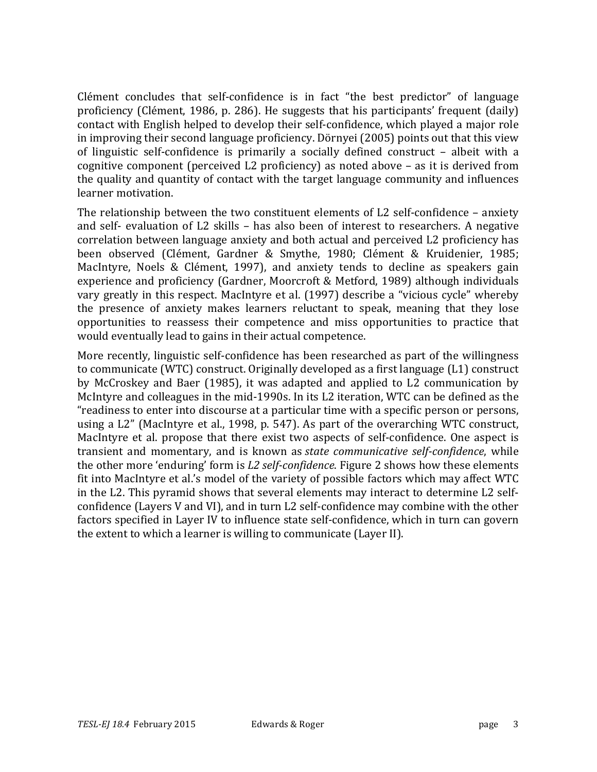Clément concludes that self-confidence is in fact "the best predictor" of language proficiency (Clément, 1986, p. 286). He suggests that his participants' frequent (daily) contact with English helped to develop their self-confidence, which played a major role in improving their second language proficiency. Dörnyei (2005) points out that this view of linguistic self-confidence is primarily a socially defined construct – albeit with a cognitive component (perceived L2 proficiency) as noted above  $-$  as it is derived from the quality and quantity of contact with the target language community and influences learner motivation.

The relationship between the two constituent elements of L2 self-confidence – anxiety and self- evaluation of L2 skills – has also been of interest to researchers. A negative correlation between language anxiety and both actual and perceived L2 proficiency has been observed (Clément, Gardner & Smythe, 1980; Clément & Kruidenier, 1985; MacIntyre, Noels & Clément, 1997), and anxiety tends to decline as speakers gain experience and proficiency (Gardner, Moorcroft & Metford, 1989) although individuals vary greatly in this respect. MacIntyre et al. (1997) describe a "vicious cycle" whereby the presence of anxiety makes learners reluctant to speak, meaning that they lose opportunities to reassess their competence and miss opportunities to practice that would eventually lead to gains in their actual competence.

More recently, linguistic self-confidence has been researched as part of the willingness to communicate (WTC) construct. Originally developed as a first language  $(L1)$  construct by McCroskey and Baer (1985), it was adapted and applied to L2 communication by McIntyre and colleagues in the mid-1990s. In its L2 iteration, WTC can be defined as the "readiness to enter into discourse at a particular time with a specific person or persons, using a L2" (MacIntyre et al., 1998, p. 547). As part of the overarching WTC construct, MacIntyre et al. propose that there exist two aspects of self-confidence. One aspect is transient and momentary, and is known as *state communicative self-confidence*, while the other more 'enduring' form is *L2 self-confidence*. Figure 2 shows how these elements fit into MacIntyre et al.'s model of the variety of possible factors which may affect WTC in the L2. This pyramid shows that several elements may interact to determine L2 selfconfidence (Layers V and VI), and in turn L2 self-confidence may combine with the other factors specified in Layer IV to influence state self-confidence, which in turn can govern the extent to which a learner is willing to communicate (Layer II).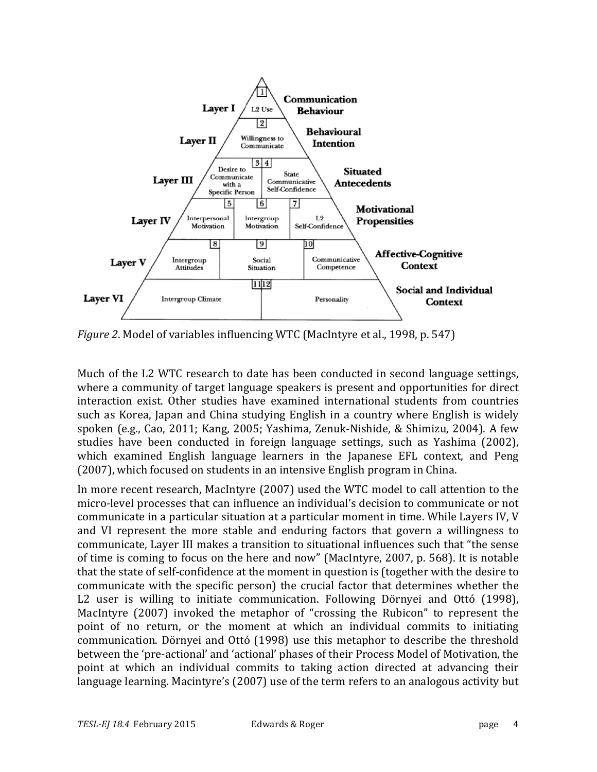

*Figure* 2. Model of variables influencing WTC (MacIntyre et al., 1998, p. 547)

Much of the L2 WTC research to date has been conducted in second language settings, where a community of target language speakers is present and opportunities for direct interaction exist. Other studies have examined international students from countries such as Korea, Japan and China studying English in a country where English is widely spoken (e.g., Cao, 2011; Kang, 2005; Yashima, Zenuk-Nishide, & Shimizu, 2004). A few studies have been conducted in foreign language settings, such as Yashima (2002), which examined English language learners in the Japanese EFL context, and Peng (2007), which focused on students in an intensive English program in China.

In more recent research, MacIntyre (2007) used the WTC model to call attention to the micro-level processes that can influence an individual's decision to communicate or not communicate in a particular situation at a particular moment in time. While Layers IV, V and VI represent the more stable and enduring factors that govern a willingness to communicate, Layer III makes a transition to situational influences such that "the sense of time is coming to focus on the here and now" (MacIntyre, 2007, p. 568). It is notable that the state of self-confidence at the moment in question is (together with the desire to communicate with the specific person) the crucial factor that determines whether the L2 user is willing to initiate communication. Following Dörnyei and Ottó (1998), MacIntyre (2007) invoked the metaphor of "crossing the Rubicon" to represent the point of no return, or the moment at which an individual commits to initiating communication. Dörnyei and Ottó (1998) use this metaphor to describe the threshold between the 'pre-actional' and 'actional' phases of their Process Model of Motivation, the point at which an individual commits to taking action directed at advancing their language learning. Macintyre's (2007) use of the term refers to an analogous activity but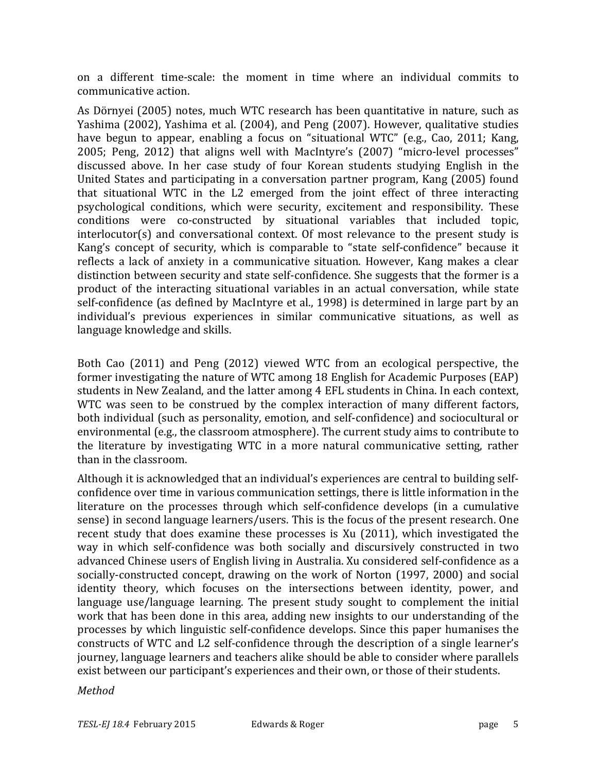on a different time-scale: the moment in time where an individual commits to communicative action.

As Dörnyei (2005) notes, much WTC research has been quantitative in nature, such as Yashima  $(2002)$ , Yashima et al.  $(2004)$ , and Peng  $(2007)$ . However, qualitative studies have begun to appear, enabling a focus on "situational WTC" (e.g., Cao, 2011; Kang, 2005; Peng, 2012) that aligns well with MacIntyre's (2007) "micro-level processes" discussed above. In her case study of four Korean students studying English in the United States and participating in a conversation partner program, Kang (2005) found that situational WTC in the L2 emerged from the joint effect of three interacting psychological conditions, which were security, excitement and responsibility. These conditions were co-constructed by situational variables that included topic, interlocutor(s) and conversational context. Of most relevance to the present study is Kang's concept of security, which is comparable to "state self-confidence" because it reflects a lack of anxiety in a communicative situation. However, Kang makes a clear distinction between security and state self-confidence. She suggests that the former is a product of the interacting situational variables in an actual conversation, while state self-confidence (as defined by MacIntyre et al., 1998) is determined in large part by an individual's previous experiences in similar communicative situations, as well as language knowledge and skills.

Both Cao (2011) and Peng (2012) viewed WTC from an ecological perspective, the former investigating the nature of WTC among 18 English for Academic Purposes (EAP) students in New Zealand, and the latter among 4 EFL students in China. In each context, WTC was seen to be construed by the complex interaction of many different factors, both individual (such as personality, emotion, and self-confidence) and sociocultural or environmental  $(e.g., the classroom atmosphere)$ . The current study aims to contribute to the literature by investigating WTC in a more natural communicative setting, rather than in the classroom.

Although it is acknowledged that an individual's experiences are central to building selfconfidence over time in various communication settings, there is little information in the literature on the processes through which self-confidence develops (in a cumulative sense) in second language learners/users. This is the focus of the present research. One recent study that does examine these processes is Xu (2011), which investigated the way in which self-confidence was both socially and discursively constructed in two advanced Chinese users of English living in Australia. Xu considered self-confidence as a socially-constructed concept, drawing on the work of Norton (1997, 2000) and social identity theory, which focuses on the intersections between identity, power, and language use/language learning. The present study sought to complement the initial work that has been done in this area, adding new insights to our understanding of the processes by which linguistic self-confidence develops. Since this paper humanises the constructs of WTC and L2 self-confidence through the description of a single learner's journey, language learners and teachers alike should be able to consider where parallels exist between our participant's experiences and their own, or those of their students.

#### *Method*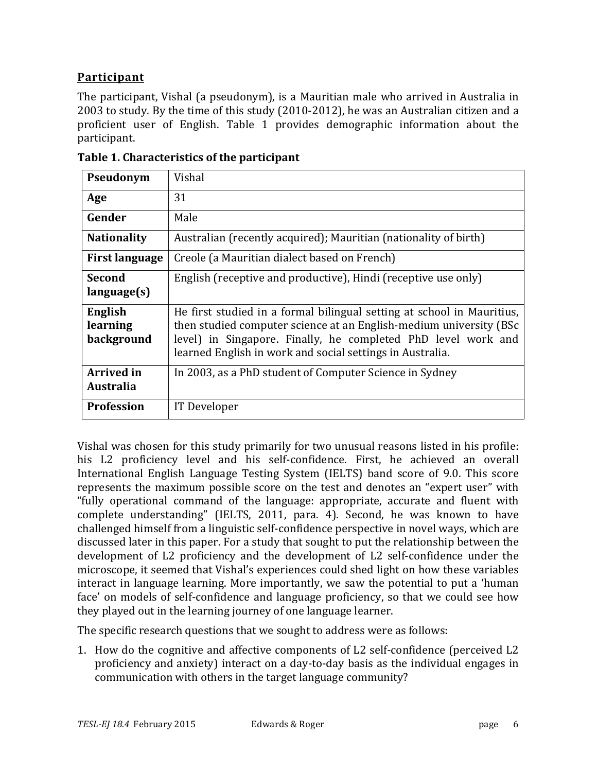## **Participant**

The participant, Vishal (a pseudonym), is a Mauritian male who arrived in Australia in 2003 to study. By the time of this study (2010-2012), he was an Australian citizen and a proficient user of English. Table 1 provides demographic information about the participant.

| Pseudonym                             | Vishal                                                                                                                                                                                                                                                                      |  |
|---------------------------------------|-----------------------------------------------------------------------------------------------------------------------------------------------------------------------------------------------------------------------------------------------------------------------------|--|
| Age                                   | 31                                                                                                                                                                                                                                                                          |  |
| Gender                                | Male                                                                                                                                                                                                                                                                        |  |
| <b>Nationality</b>                    | Australian (recently acquired); Mauritian (nationality of birth)                                                                                                                                                                                                            |  |
| <b>First language</b>                 | Creole (a Mauritian dialect based on French)                                                                                                                                                                                                                                |  |
| <b>Second</b><br>language(s)          | English (receptive and productive), Hindi (receptive use only)                                                                                                                                                                                                              |  |
| English<br>learning<br>background     | He first studied in a formal bilingual setting at school in Mauritius,<br>then studied computer science at an English-medium university (BSc)<br>level) in Singapore. Finally, he completed PhD level work and<br>learned English in work and social settings in Australia. |  |
| <b>Arrived</b> in<br><b>Australia</b> | In 2003, as a PhD student of Computer Science in Sydney                                                                                                                                                                                                                     |  |
| <b>Profession</b>                     | IT Developer                                                                                                                                                                                                                                                                |  |

**Table 1. Characteristics of the participant**

Vishal was chosen for this study primarily for two unusual reasons listed in his profile: his L2 proficiency level and his self-confidence. First, he achieved an overall International English Language Testing System (IELTS) band score of 9.0. This score represents the maximum possible score on the test and denotes an "expert user" with "fully operational command of the language: appropriate, accurate and fluent with complete understanding" (IELTS, 2011, para. 4). Second, he was known to have challenged himself from a linguistic self-confidence perspective in novel ways, which are discussed later in this paper. For a study that sought to put the relationship between the development of L2 proficiency and the development of L2 self-confidence under the microscope, it seemed that Vishal's experiences could shed light on how these variables interact in language learning. More importantly, we saw the potential to put a 'human face' on models of self-confidence and language proficiency, so that we could see how they played out in the learning journey of one language learner.

The specific research questions that we sought to address were as follows:

1. How do the cognitive and affective components of L2 self-confidence (perceived L2 proficiency and anxiety) interact on a day-to-day basis as the individual engages in communication with others in the target language community?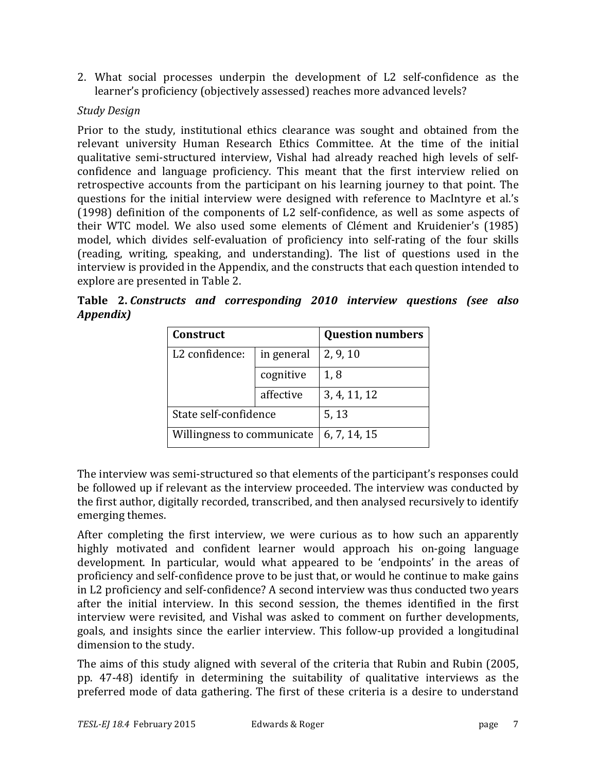2. What social processes underpin the development of L2 self-confidence as the learner's proficiency (objectively assessed) reaches more advanced levels?

## *Study Design*

Prior to the study, institutional ethics clearance was sought and obtained from the relevant university Human Research Ethics Committee. At the time of the initial qualitative semi-structured interview, Vishal had already reached high levels of selfconfidence and language proficiency. This meant that the first interview relied on retrospective accounts from the participant on his learning journey to that point. The questions for the initial interview were designed with reference to MacIntyre et al.'s  $(1998)$  definition of the components of L2 self-confidence, as well as some aspects of their WTC model. We also used some elements of Clément and Kruidenier's (1985) model, which divides self-evaluation of proficiency into self-rating of the four skills (reading, writing, speaking, and understanding). The list of questions used in the interview is provided in the Appendix, and the constructs that each question intended to explore are presented in Table 2.

**Table 2.** *Constructs and corresponding 2010 interview questions (see also Appendix)*

| Construct                  | <b>Question numbers</b> |              |
|----------------------------|-------------------------|--------------|
| L2 confidence:             | in general              | 2, 9, 10     |
|                            | cognitive               | 1,8          |
|                            | affective               | 3, 4, 11, 12 |
| State self-confidence      | 5, 13                   |              |
| Willingness to communicate | 6, 7, 14, 15            |              |

The interview was semi-structured so that elements of the participant's responses could be followed up if relevant as the interview proceeded. The interview was conducted by the first author, digitally recorded, transcribed, and then analysed recursively to identify emerging themes.

After completing the first interview, we were curious as to how such an apparently highly motivated and confident learner would approach his on-going language development. In particular, would what appeared to be 'endpoints' in the areas of proficiency and self-confidence prove to be just that, or would he continue to make gains in L2 proficiency and self-confidence? A second interview was thus conducted two years after the initial interview. In this second session, the themes identified in the first interview were revisited, and Vishal was asked to comment on further developments, goals, and insights since the earlier interview. This follow-up provided a longitudinal dimension to the study.

The aims of this study aligned with several of the criteria that Rubin and Rubin (2005, pp. 47-48) identify in determining the suitability of qualitative interviews as the preferred mode of data gathering. The first of these criteria is a desire to understand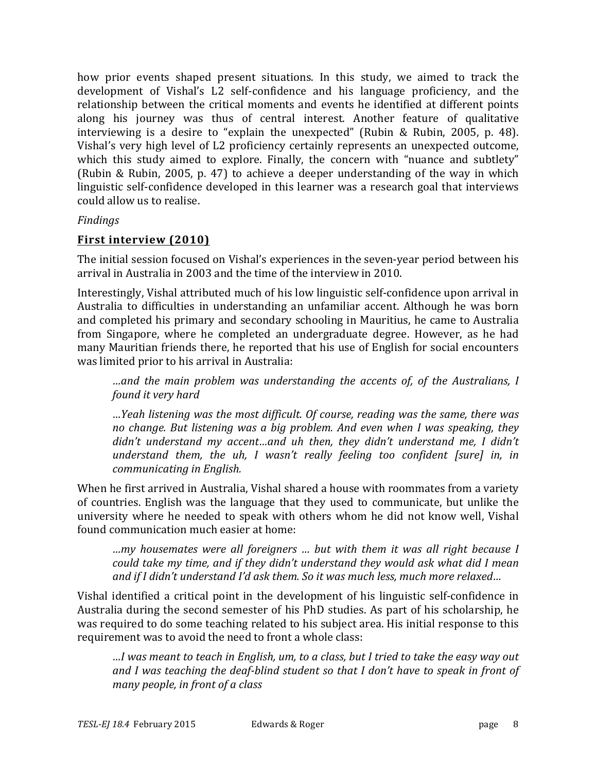how prior events shaped present situations. In this study, we aimed to track the development of Vishal's L2 self-confidence and his language proficiency, and the relationship between the critical moments and events he identified at different points along his journey was thus of central interest. Another feature of qualitative interviewing is a desire to "explain the unexpected" (Rubin & Rubin, 2005, p. 48). Vishal's very high level of L2 proficiency certainly represents an unexpected outcome, which this study aimed to explore. Finally, the concern with "nuance and subtlety" (Rubin & Rubin, 2005, p. 47) to achieve a deeper understanding of the way in which linguistic self-confidence developed in this learner was a research goal that interviews could allow us to realise.

## *Findings*

## **First interview (2010)**

The initial session focused on Vishal's experiences in the seven-year period between his arrival in Australia in 2003 and the time of the interview in 2010.

Interestingly, Vishal attributed much of his low linguistic self-confidence upon arrival in Australia to difficulties in understanding an unfamiliar accent. Although he was born and completed his primary and secondary schooling in Mauritius, he came to Australia from Singapore, where he completed an undergraduate degree. However, as he had many Mauritian friends there, he reported that his use of English for social encounters was limited prior to his arrival in Australia:

*…and the main problem was understanding the accents of, of the Australians, I found it very hard* 

*…Yeah listening was the most difficult. Of course, reading was the same, there was no change.* But listening was a big problem. And even when I was speaking, they didn't understand my accent...and uh then, they didn't understand me, I didn't *understand them, the uh, I wasn't really feeling too confident [sure] in, in communicating in English.* 

When he first arrived in Australia, Vishal shared a house with roommates from a variety of countries. English was the language that they used to communicate, but unlike the university where he needed to speak with others whom he did not know well, Vishal found communication much easier at home:

*…my housemates were all foreigners … but with them it was all right because I could take my time, and if they didn't understand they would ask what did I mean* and if I didn't understand I'd ask them. So it was much less, much more relaxed...

Vishal identified a critical point in the development of his linguistic self-confidence in Australia during the second semester of his PhD studies. As part of his scholarship, he was required to do some teaching related to his subject area. His initial response to this requirement was to avoid the need to front a whole class:

*…I was meant to teach in English, um, to a class, but I tried to take the easy way out*  and I was teaching the deaf-blind student so that I don't have to speak in front of *many people, in front of a class*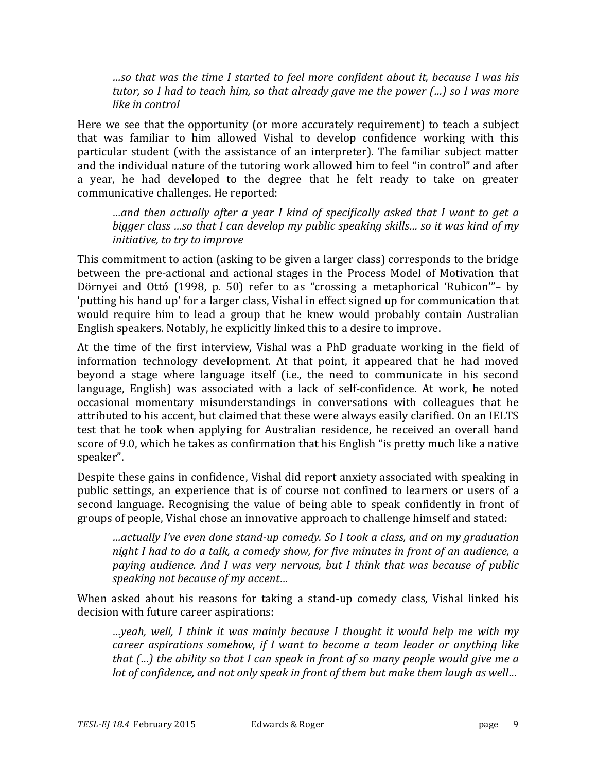*…so that was the time I started to feel more confident about it, because I was his tutor,* so I had to teach him, so that already gave me the power (...) so I was more *like in control* 

Here we see that the opportunity (or more accurately requirement) to teach a subject that was familiar to him allowed Vishal to develop confidence working with this particular student (with the assistance of an interpreter). The familiar subject matter and the individual nature of the tutoring work allowed him to feel "in control" and after a year, he had developed to the degree that he felt ready to take on greater communicative challenges. He reported:

*…and then actually after a year I kind of specifically asked that I want to get a bigger class ...so* that I can develop my public speaking skills... so it was kind of my *initiative, to try to improve* 

This commitment to action (asking to be given a larger class) corresponds to the bridge between the pre-actional and actional stages in the Process Model of Motivation that Dörnyei and Ottó (1998, p. 50) refer to as "crossing a metaphorical 'Rubicon'"– by 'putting his hand up' for a larger class, Vishal in effect signed up for communication that would require him to lead a group that he knew would probably contain Australian English speakers. Notably, he explicitly linked this to a desire to improve.

At the time of the first interview, Vishal was a PhD graduate working in the field of information technology development. At that point, it appeared that he had moved beyond a stage where language itself (i.e., the need to communicate in his second language, English) was associated with a lack of self-confidence. At work, he noted occasional momentary misunderstandings in conversations with colleagues that he attributed to his accent, but claimed that these were always easily clarified. On an IELTS test that he took when applying for Australian residence, he received an overall band score of 9.0, which he takes as confirmation that his English "is pretty much like a native speaker".

Despite these gains in confidence, Vishal did report anxiety associated with speaking in public settings, an experience that is of course not confined to learners or users of a second language. Recognising the value of being able to speak confidently in front of groups of people, Vishal chose an innovative approach to challenge himself and stated:

*…actually I've even done stand-up comedy. So I took a class, and on my graduation night I had to do a talk, a comedy show, for five minutes in front of an audience, a paying audience. And I was very nervous, but I think that was because of public speaking not because of my accent...* 

When asked about his reasons for taking a stand-up comedy class, Vishal linked his decision with future career aspirations:

*…yeah, well, I think it was mainly because I thought it would help me with my career aspirations somehow, if I want to become a team leader or anything like that* (...) the ability so that I can speak in front of so many people would give me a *lot* of confidence, and not only speak in front of them but make them laugh as well...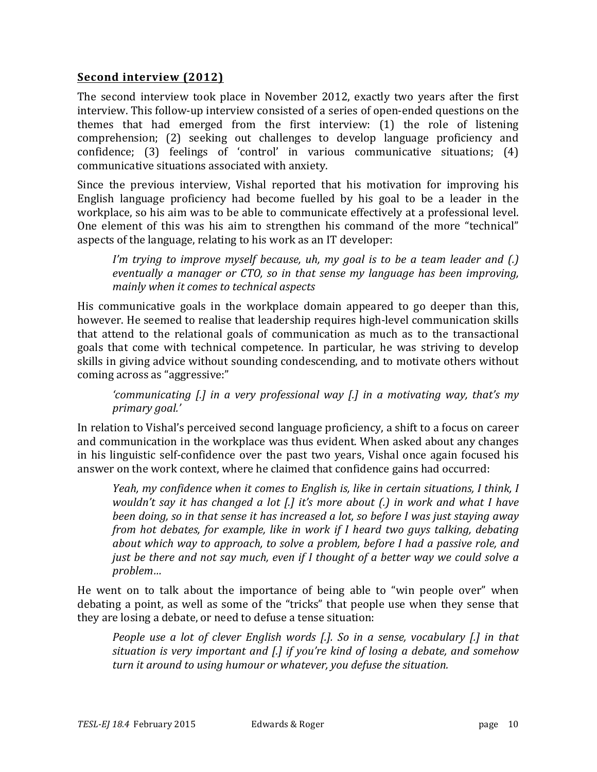## **Second interview (2012)**

The second interview took place in November 2012, exactly two years after the first interview. This follow-up interview consisted of a series of open-ended questions on the themes that had emerged from the first interview:  $(1)$  the role of listening comprehension; (2) seeking out challenges to develop language proficiency and confidence; (3) feelings of 'control' in various communicative situations;  $(4)$ communicative situations associated with anxiety.

Since the previous interview, Vishal reported that his motivation for improving his English language proficiency had become fuelled by his goal to be a leader in the workplace, so his aim was to be able to communicate effectively at a professional level. One element of this was his aim to strengthen his command of the more "technical" aspects of the language, relating to his work as an IT developer:

*I'm trying to improve myself because, uh, my goal is to be a team leader and (.) eventually* a manager or CTO, so in that sense my language has been improving, *mainly when it comes to technical aspects* 

His communicative goals in the workplace domain appeared to go deeper than this, however. He seemed to realise that leadership requires high-level communication skills that attend to the relational goals of communication as much as to the transactional goals that come with technical competence. In particular, he was striving to develop skills in giving advice without sounding condescending, and to motivate others without coming across as "aggressive:"

*'communicating* [.] in a very professional way [.] in a motivating way, that's my *primary goal.'*

In relation to Vishal's perceived second language proficiency, a shift to a focus on career and communication in the workplace was thus evident. When asked about any changes in his linguistic self-confidence over the past two years, Vishal once again focused his answer on the work context, where he claimed that confidence gains had occurred:

*Yeah, my confidence when it comes to English is, like in certain situations, I think, I wouldn't say it has changed a lot [.]* it's more about (.) in work and what I have *been doing, so in that sense it has increased a lot, so before I was just staying away from hot debates, for example, like in work if I heard two guys talking, debating about* which way to approach, to solve a problem, before I had a passive role, and *just be there and not say much, even if I thought of a better way we could solve a problem…*

He went on to talk about the importance of being able to "win people over" when debating a point, as well as some of the "tricks" that people use when they sense that they are losing a debate, or need to defuse a tense situation:

*People use a lot of clever English words [.]. So in a sense, vocabulary [.]* in that *situation is very important and [.] if you're kind of losing a debate, and somehow turn* it around to using humour or whatever, you defuse the situation.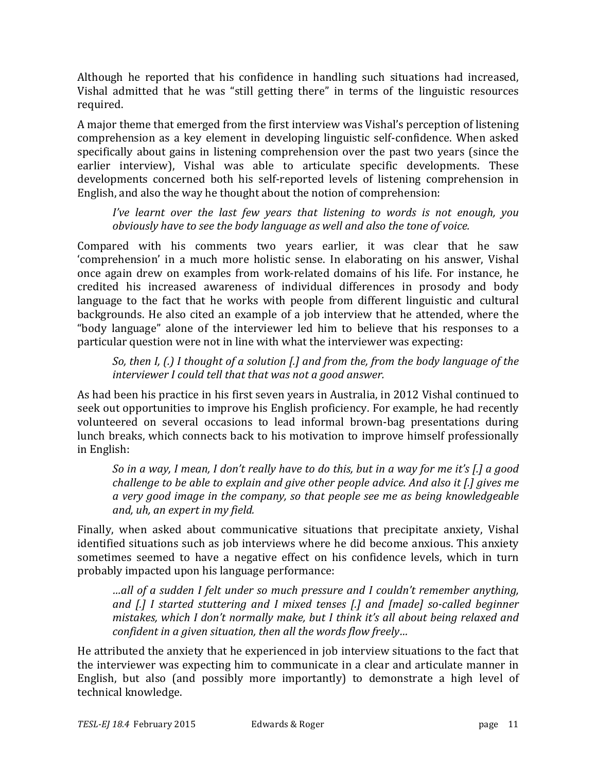Although he reported that his confidence in handling such situations had increased, Vishal admitted that he was "still getting there" in terms of the linguistic resources required.

A major theme that emerged from the first interview was Vishal's perception of listening comprehension as a key element in developing linguistic self-confidence. When asked specifically about gains in listening comprehension over the past two years (since the earlier interview), Vishal was able to articulate specific developments. These developments concerned both his self-reported levels of listening comprehension in English, and also the way he thought about the notion of comprehension:

*I've learnt over the last few years that listening to words is not enough, you obviously have to see the body language as well and also the tone of voice.* 

Compared with his comments two years earlier, it was clear that he saw 'comprehension' in a much more holistic sense. In elaborating on his answer, Vishal once again drew on examples from work-related domains of his life. For instance, he credited his increased awareness of individual differences in prosody and body language to the fact that he works with people from different linguistic and cultural backgrounds. He also cited an example of a job interview that he attended, where the "body language" alone of the interviewer led him to believe that his responses to a particular question were not in line with what the interviewer was expecting:

*So,* then *I, (.) I* thought of a solution [.] and from the, from the body language of the *interviewer I could tell that that was not a good answer.* 

As had been his practice in his first seven years in Australia, in 2012 Vishal continued to seek out opportunities to improve his English proficiency. For example, he had recently volunteered on several occasions to lead informal brown-bag presentations during lunch breaks, which connects back to his motivation to improve himself professionally in English:

*So* in a way, I mean, I don't really have to do this, but in a way for me it's [.] a good *challenge to be able to explain and give other people advice. And also it [.] gives me a* very good image in the company, so that people see me as being knowledgeable *and, uh, an expert in my field.*

Finally, when asked about communicative situations that precipitate anxiety, Vishal identified situations such as job interviews where he did become anxious. This anxiety sometimes seemed to have a negative effect on his confidence levels, which in turn probably impacted upon his language performance:

*…all of a sudden I felt under so much pressure and I couldn't remember anything, and* [.] I started stuttering and I mixed tenses [.] and [made] so-called beginner *mistakes, which I don't normally make, but I think it's all about being relaxed and confident* in a given situation, then all the words flow freely...

He attributed the anxiety that he experienced in job interview situations to the fact that the interviewer was expecting him to communicate in a clear and articulate manner in English, but also (and possibly more importantly) to demonstrate a high level of technical knowledge.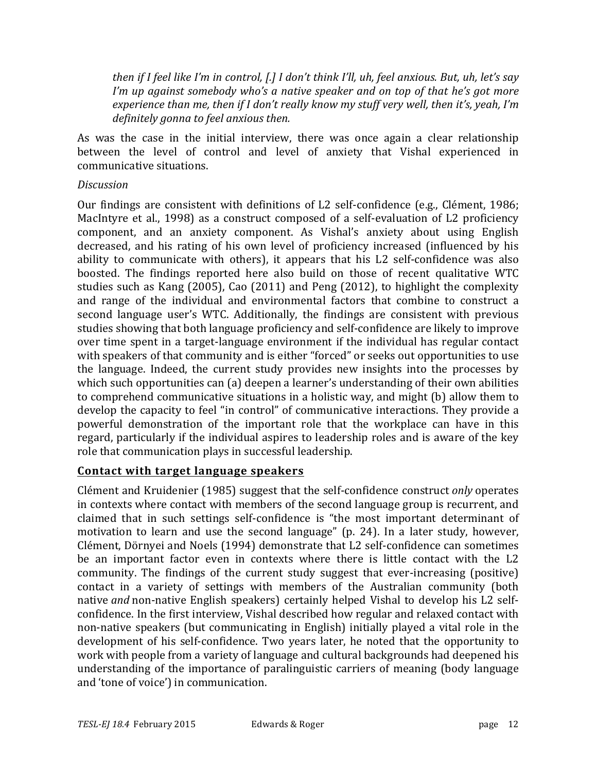*then* if I feel like I'm in control, [.] I don't think I'll, uh, feel anxious. But, uh, let's say *I'm up against somebody who's a native speaker and on top of that he's got more experience than me, then if I don't really know my stuff very well, then it's, yeah, I'm definitely gonna to feel anxious then.*

As was the case in the initial interview, there was once again a clear relationship between the level of control and level of anxiety that Vishal experienced in communicative situations.

#### *Discussion*

Our findings are consistent with definitions of L2 self-confidence (e.g., Clément, 1986; MacIntyre et al., 1998) as a construct composed of a self-evaluation of L2 proficiency component, and an anxiety component. As Vishal's anxiety about using English decreased, and his rating of his own level of proficiency increased (influenced by his ability to communicate with others), it appears that his  $L2$  self-confidence was also boosted. The findings reported here also build on those of recent qualitative WTC studies such as Kang  $(2005)$ , Cao  $(2011)$  and Peng  $(2012)$ , to highlight the complexity and range of the individual and environmental factors that combine to construct a second language user's WTC. Additionally, the findings are consistent with previous studies showing that both language proficiency and self-confidence are likely to improve over time spent in a target-language environment if the individual has regular contact with speakers of that community and is either "forced" or seeks out opportunities to use the language. Indeed, the current study provides new insights into the processes by which such opportunities can (a) deepen a learner's understanding of their own abilities to comprehend communicative situations in a holistic way, and might (b) allow them to develop the capacity to feel "in control" of communicative interactions. They provide a powerful demonstration of the important role that the workplace can have in this regard, particularly if the individual aspires to leadership roles and is aware of the key role that communication plays in successful leadership.

## **Contact with target language speakers**

Clément and Kruidenier (1985) suggest that the self-confidence construct *only* operates in contexts where contact with members of the second language group is recurrent, and claimed that in such settings self-confidence is "the most important determinant of motivation to learn and use the second language" (p. 24). In a later study, however, Clément, Dörnyei and Noels (1994) demonstrate that L2 self-confidence can sometimes be an important factor even in contexts where there is little contact with the L2 community. The findings of the current study suggest that ever-increasing (positive) contact in a variety of settings with members of the Australian community (both native *and* non-native English speakers) certainly helped Vishal to develop his L2 selfconfidence. In the first interview, Vishal described how regular and relaxed contact with non-native speakers (but communicating in English) initially played a vital role in the development of his self-confidence. Two years later, he noted that the opportunity to work with people from a variety of language and cultural backgrounds had deepened his understanding of the importance of paralinguistic carriers of meaning (body language and 'tone of voice') in communication.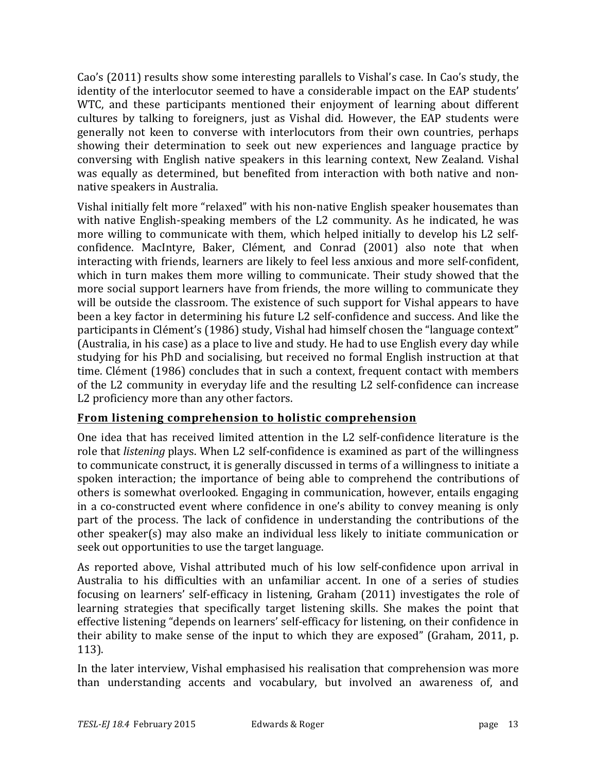Cao's (2011) results show some interesting parallels to Vishal's case. In Cao's study, the identity of the interlocutor seemed to have a considerable impact on the EAP students' WTC, and these participants mentioned their enjoyment of learning about different cultures by talking to foreigners, just as Vishal did. However, the EAP students were generally not keen to converse with interlocutors from their own countries, perhaps showing their determination to seek out new experiences and language practice by conversing with English native speakers in this learning context, New Zealand. Vishal was equally as determined, but benefited from interaction with both native and nonnative speakers in Australia.

Vishal initially felt more "relaxed" with his non-native English speaker housemates than with native English-speaking members of the  $L2$  community. As he indicated, he was more willing to communicate with them, which helped initially to develop his L2 selfconfidence. MacIntyre, Baker, Clément, and Conrad (2001) also note that when interacting with friends, learners are likely to feel less anxious and more self-confident, which in turn makes them more willing to communicate. Their study showed that the more social support learners have from friends, the more willing to communicate they will be outside the classroom. The existence of such support for Vishal appears to have been a key factor in determining his future L2 self-confidence and success. And like the participants in Clément's (1986) study, Vishal had himself chosen the "language context" (Australia, in his case) as a place to live and study. He had to use English every day while studying for his PhD and socialising, but received no formal English instruction at that time. Clément (1986) concludes that in such a context, frequent contact with members of the L2 community in everyday life and the resulting L2 self-confidence can increase L2 proficiency more than any other factors.

## From listening comprehension to holistic comprehension

One idea that has received limited attention in the L2 self-confidence literature is the role that *listening* plays. When L2 self-confidence is examined as part of the willingness to communicate construct, it is generally discussed in terms of a willingness to initiate a spoken interaction; the importance of being able to comprehend the contributions of others is somewhat overlooked. Engaging in communication, however, entails engaging in a co-constructed event where confidence in one's ability to convey meaning is only part of the process. The lack of confidence in understanding the contributions of the other speaker(s) may also make an individual less likely to initiate communication or seek out opportunities to use the target language.

As reported above, Vishal attributed much of his low self-confidence upon arrival in Australia to his difficulties with an unfamiliar accent. In one of a series of studies focusing on learners' self-efficacy in listening, Graham (2011) investigates the role of learning strategies that specifically target listening skills. She makes the point that effective listening "depends on learners' self-efficacy for listening, on their confidence in their ability to make sense of the input to which they are exposed" (Graham, 2011, p. 113).

In the later interview, Vishal emphasised his realisation that comprehension was more than understanding accents and vocabulary, but involved an awareness of, and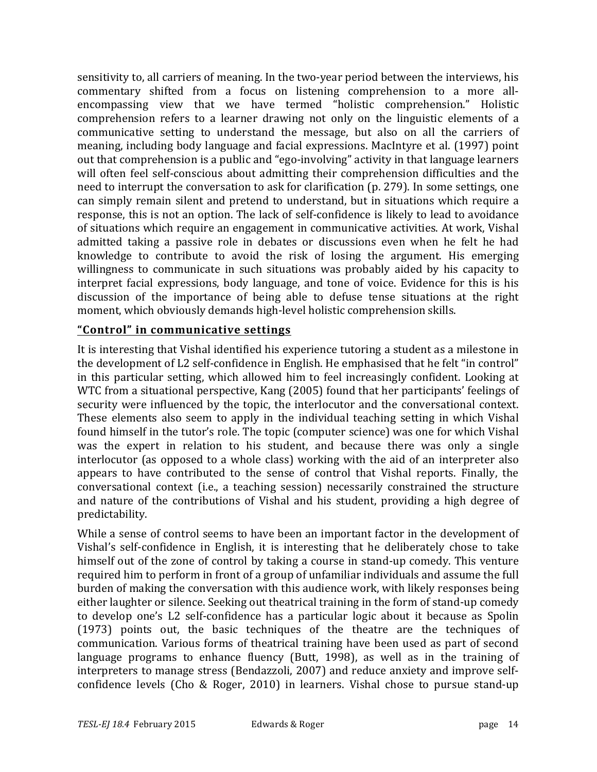sensitivity to, all carriers of meaning. In the two-year period between the interviews, his commentary shifted from a focus on listening comprehension to a more allencompassing view that we have termed "holistic comprehension." Holistic comprehension refers to a learner drawing not only on the linguistic elements of a communicative setting to understand the message, but also on all the carriers of meaning, including body language and facial expressions. MacIntyre et al. (1997) point out that comprehension is a public and "ego-involving" activity in that language learners will often feel self-conscious about admitting their comprehension difficulties and the need to interrupt the conversation to ask for clarification  $(p. 279)$ . In some settings, one can simply remain silent and pretend to understand, but in situations which require a response, this is not an option. The lack of self-confidence is likely to lead to avoidance of situations which require an engagement in communicative activities. At work, Vishal admitted taking a passive role in debates or discussions even when he felt he had knowledge to contribute to avoid the risk of losing the argument. His emerging willingness to communicate in such situations was probably aided by his capacity to interpret facial expressions, body language, and tone of voice. Evidence for this is his discussion of the importance of being able to defuse tense situations at the right moment, which obviously demands high-level holistic comprehension skills.

## **"Control" in communicative settings**

It is interesting that Vishal identified his experience tutoring a student as a milestone in the development of L2 self-confidence in English. He emphasised that he felt "in control" in this particular setting, which allowed him to feel increasingly confident. Looking at WTC from a situational perspective, Kang (2005) found that her participants' feelings of security were influenced by the topic, the interlocutor and the conversational context. These elements also seem to apply in the individual teaching setting in which Vishal found himself in the tutor's role. The topic (computer science) was one for which Vishal was the expert in relation to his student, and because there was only a single interlocutor (as opposed to a whole class) working with the aid of an interpreter also appears to have contributed to the sense of control that Vishal reports. Finally, the conversational context (i.e., a teaching session) necessarily constrained the structure and nature of the contributions of Vishal and his student, providing a high degree of predictability.

While a sense of control seems to have been an important factor in the development of Vishal's self-confidence in English, it is interesting that he deliberately chose to take himself out of the zone of control by taking a course in stand-up comedy. This venture required him to perform in front of a group of unfamiliar individuals and assume the full burden of making the conversation with this audience work, with likely responses being either laughter or silence. Seeking out theatrical training in the form of stand-up comedy to develop one's L2 self-confidence has a particular logic about it because as Spolin (1973) points out, the basic techniques of the theatre are the techniques of communication. Various forms of theatrical training have been used as part of second language programs to enhance fluency (Butt, 1998), as well as in the training of interpreters to manage stress (Bendazzoli, 2007) and reduce anxiety and improve selfconfidence levels (Cho & Roger, 2010) in learners. Vishal chose to pursue stand-up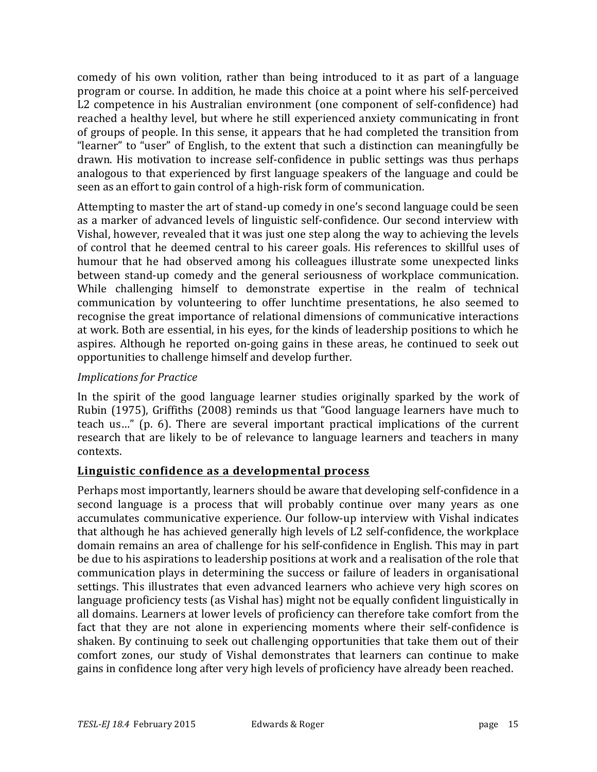comedy of his own volition, rather than being introduced to it as part of a language program or course. In addition, he made this choice at a point where his self-perceived L2 competence in his Australian environment (one component of self-confidence) had reached a healthy level, but where he still experienced anxiety communicating in front of groups of people. In this sense, it appears that he had completed the transition from "learner" to "user" of English, to the extent that such a distinction can meaningfully be drawn. His motivation to increase self-confidence in public settings was thus perhaps analogous to that experienced by first language speakers of the language and could be seen as an effort to gain control of a high-risk form of communication.

Attempting to master the art of stand-up comedy in one's second language could be seen as a marker of advanced levels of linguistic self-confidence. Our second interview with Vishal, however, revealed that it was just one step along the way to achieving the levels of control that he deemed central to his career goals. His references to skillful uses of humour that he had observed among his colleagues illustrate some unexpected links between stand-up comedy and the general seriousness of workplace communication. While challenging himself to demonstrate expertise in the realm of technical communication by volunteering to offer lunchtime presentations, he also seemed to recognise the great importance of relational dimensions of communicative interactions at work. Both are essential, in his eyes, for the kinds of leadership positions to which he aspires. Although he reported on-going gains in these areas, he continued to seek out opportunities to challenge himself and develop further.

## *Implications for Practice*

In the spirit of the good language learner studies originally sparked by the work of Rubin (1975), Griffiths (2008) reminds us that "Good language learners have much to teach us..." (p. 6). There are several important practical implications of the current research that are likely to be of relevance to language learners and teachers in many contexts.

## **Linguistic confidence as a developmental process**

Perhaps most importantly, learners should be aware that developing self-confidence in a second language is a process that will probably continue over many years as one accumulates communicative experience. Our follow-up interview with Vishal indicates that although he has achieved generally high levels of L2 self-confidence, the workplace domain remains an area of challenge for his self-confidence in English. This may in part be due to his aspirations to leadership positions at work and a realisation of the role that communication plays in determining the success or failure of leaders in organisational settings. This illustrates that even advanced learners who achieve very high scores on language proficiency tests (as Vishal has) might not be equally confident linguistically in all domains. Learners at lower levels of proficiency can therefore take comfort from the fact that they are not alone in experiencing moments where their self-confidence is shaken. By continuing to seek out challenging opportunities that take them out of their comfort zones, our study of Vishal demonstrates that learners can continue to make gains in confidence long after very high levels of proficiency have already been reached.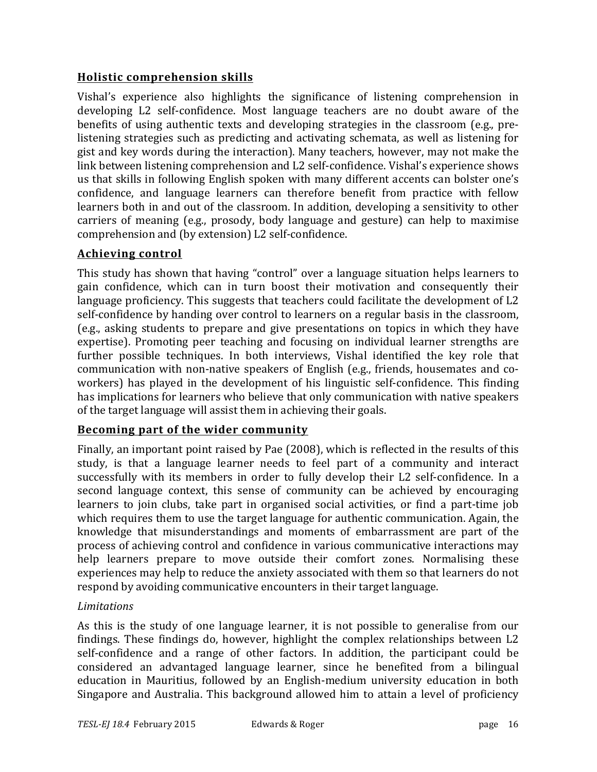## **Holistic comprehension skills**

Vishal's experience also highlights the significance of listening comprehension in developing L2 self-confidence. Most language teachers are no doubt aware of the benefits of using authentic texts and developing strategies in the classroom (e.g., prelistening strategies such as predicting and activating schemata, as well as listening for gist and key words during the interaction). Many teachers, however, may not make the link between listening comprehension and L2 self-confidence. Vishal's experience shows us that skills in following English spoken with many different accents can bolster one's confidence, and language learners can therefore benefit from practice with fellow learners both in and out of the classroom. In addition, developing a sensitivity to other carriers of meaning (e.g., prosody, body language and gesture) can help to maximise comprehension and (by extension) L2 self-confidence.

## **Achieving control**

This study has shown that having "control" over a language situation helps learners to gain confidence, which can in turn boost their motivation and consequently their language proficiency. This suggests that teachers could facilitate the development of L2 self-confidence by handing over control to learners on a regular basis in the classroom, (e.g., asking students to prepare and give presentations on topics in which they have expertise). Promoting peer teaching and focusing on individual learner strengths are further possible techniques. In both interviews, Vishal identified the key role that communication with non-native speakers of English (e.g., friends, housemates and coworkers) has played in the development of his linguistic self-confidence. This finding has implications for learners who believe that only communication with native speakers of the target language will assist them in achieving their goals.

## **Becoming part of the wider community**

Finally, an important point raised by Pae (2008), which is reflected in the results of this study, is that a language learner needs to feel part of a community and interact successfully with its members in order to fully develop their L2 self-confidence. In a second language context, this sense of community can be achieved by encouraging learners to join clubs, take part in organised social activities, or find a part-time job which requires them to use the target language for authentic communication. Again, the knowledge that misunderstandings and moments of embarrassment are part of the process of achieving control and confidence in various communicative interactions may help learners prepare to move outside their comfort zones. Normalising these experiences may help to reduce the anxiety associated with them so that learners do not respond by avoiding communicative encounters in their target language.

## *Limitations*

As this is the study of one language learner, it is not possible to generalise from our findings. These findings do, however, highlight the complex relationships between L2 self-confidence and a range of other factors. In addition, the participant could be considered an advantaged language learner, since he benefited from a bilingual education in Mauritius, followed by an English-medium university education in both Singapore and Australia. This background allowed him to attain a level of proficiency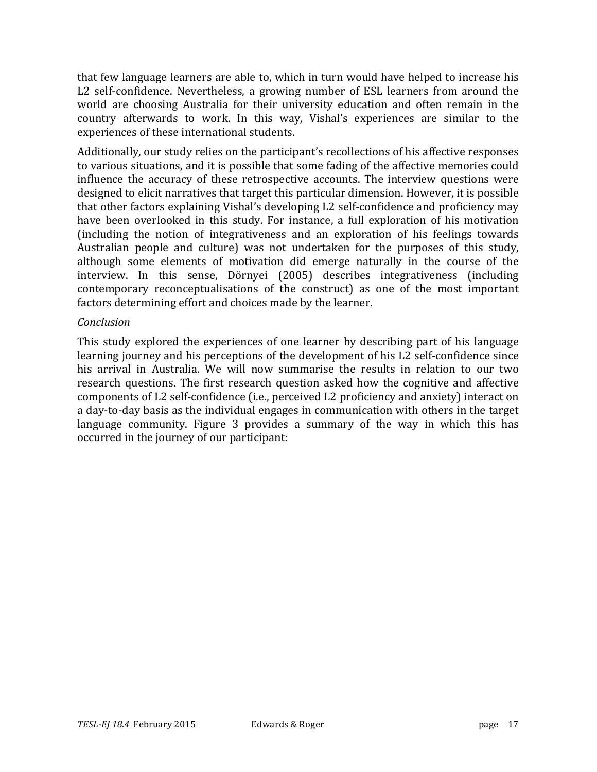that few language learners are able to, which in turn would have helped to increase his L2 self-confidence. Nevertheless, a growing number of ESL learners from around the world are choosing Australia for their university education and often remain in the country afterwards to work. In this way, Vishal's experiences are similar to the experiences of these international students.

Additionally, our study relies on the participant's recollections of his affective responses to various situations, and it is possible that some fading of the affective memories could influence the accuracy of these retrospective accounts. The interview questions were designed to elicit narratives that target this particular dimension. However, it is possible that other factors explaining Vishal's developing L2 self-confidence and proficiency may have been overlooked in this study. For instance, a full exploration of his motivation (including the notion of integrativeness and an exploration of his feelings towards Australian people and culture) was not undertaken for the purposes of this study, although some elements of motivation did emerge naturally in the course of the interview. In this sense, Dörnyei (2005) describes integrativeness (including contemporary reconceptualisations of the construct) as one of the most important factors determining effort and choices made by the learner.

#### *Conclusion*

This study explored the experiences of one learner by describing part of his language learning journey and his perceptions of the development of his L2 self-confidence since his arrival in Australia. We will now summarise the results in relation to our two research questions. The first research question asked how the cognitive and affective components of L2 self-confidence (i.e., perceived L2 proficiency and anxiety) interact on a day-to-day basis as the individual engages in communication with others in the target language community. Figure 3 provides a summary of the way in which this has occurred in the journey of our participant: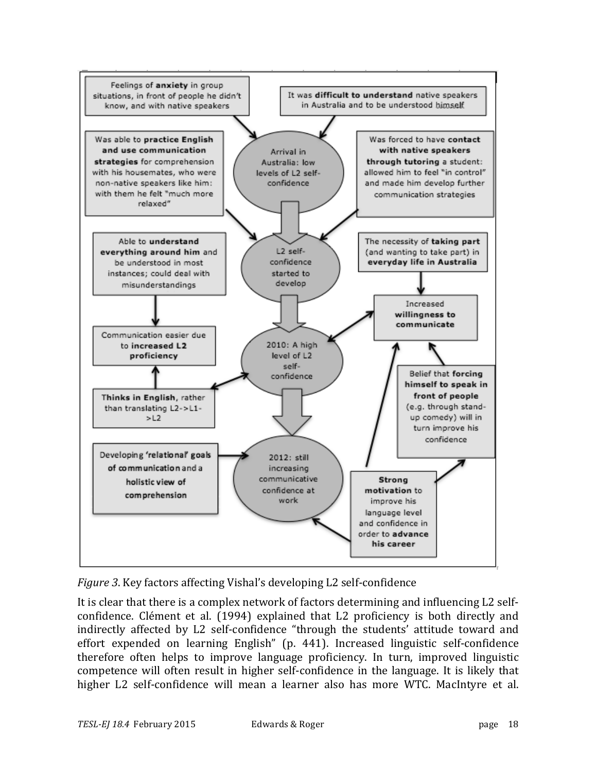

*Figure* 3. Key factors affecting Vishal's developing L2 self-confidence

It is clear that there is a complex network of factors determining and influencing L2 selfconfidence. Clément et al. (1994) explained that L2 proficiency is both directly and indirectly affected by L2 self-confidence "through the students' attitude toward and effort expended on learning English" (p. 441). Increased linguistic self-confidence therefore often helps to improve language proficiency. In turn, improved linguistic competence will often result in higher self-confidence in the language. It is likely that higher L2 self-confidence will mean a learner also has more WTC. MacIntyre et al.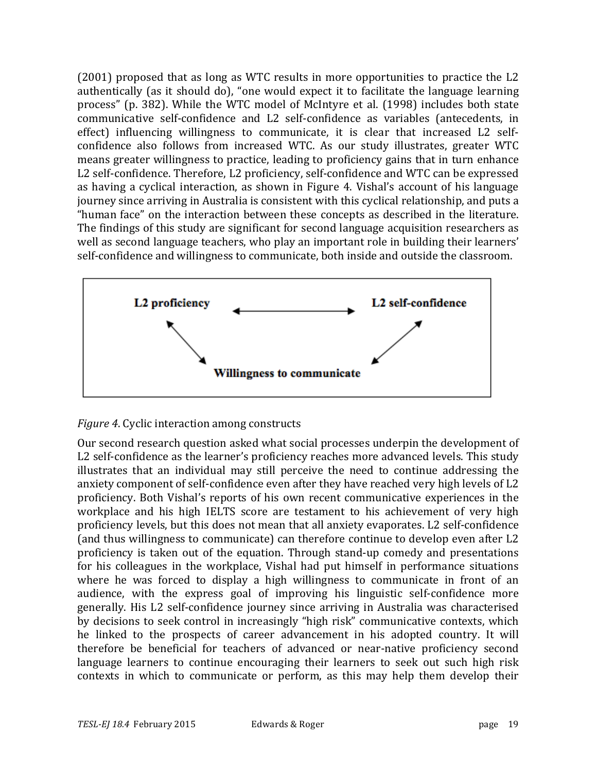(2001) proposed that as long as WTC results in more opportunities to practice the L2 authentically (as it should do), "one would expect it to facilitate the language learning process" (p. 382). While the WTC model of McIntyre et al. (1998) includes both state communicative self-confidence and L2 self-confidence as variables (antecedents, in effect) influencing willingness to communicate, it is clear that increased  $L2$  selfconfidence also follows from increased WTC. As our study illustrates, greater WTC means greater willingness to practice, leading to proficiency gains that in turn enhance L2 self-confidence. Therefore, L2 proficiency, self-confidence and WTC can be expressed as having a cyclical interaction, as shown in Figure 4. Vishal's account of his language journey since arriving in Australia is consistent with this cyclical relationship, and puts a "human face" on the interaction between these concepts as described in the literature. The findings of this study are significant for second language acquisition researchers as well as second language teachers, who play an important role in building their learners' self-confidence and willingness to communicate, both inside and outside the classroom.



## *Figure* 4. Cyclic interaction among constructs

Our second research question asked what social processes underpin the development of L2 self-confidence as the learner's proficiency reaches more advanced levels. This study illustrates that an individual may still perceive the need to continue addressing the anxiety component of self-confidence even after they have reached very high levels of L2 proficiency. Both Vishal's reports of his own recent communicative experiences in the workplace and his high IELTS score are testament to his achievement of very high proficiency levels, but this does not mean that all anxiety evaporates. L2 self-confidence (and thus willingness to communicate) can therefore continue to develop even after L2 proficiency is taken out of the equation. Through stand-up comedy and presentations for his colleagues in the workplace, Vishal had put himself in performance situations where he was forced to display a high willingness to communicate in front of an audience, with the express goal of improving his linguistic self-confidence more generally. His L2 self-confidence journey since arriving in Australia was characterised by decisions to seek control in increasingly "high risk" communicative contexts, which he linked to the prospects of career advancement in his adopted country. It will therefore be beneficial for teachers of advanced or near-native proficiency second language learners to continue encouraging their learners to seek out such high risk contexts in which to communicate or perform, as this may help them develop their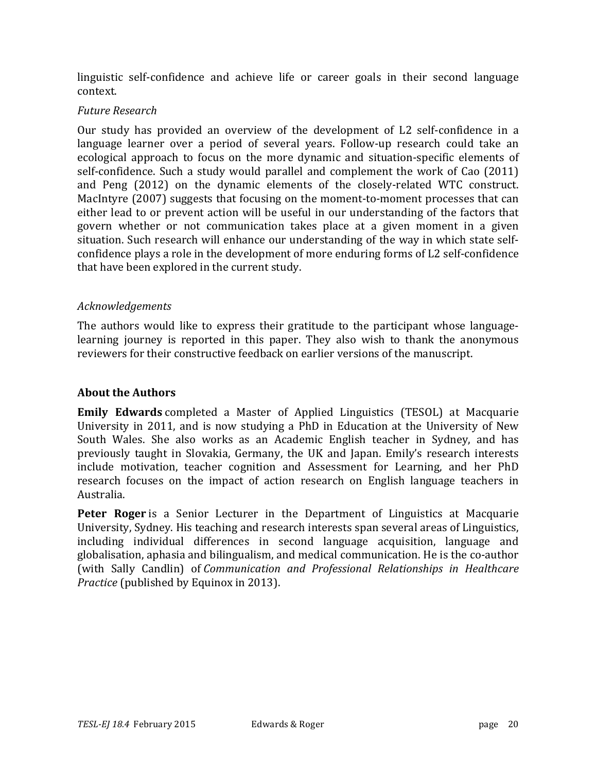linguistic self-confidence and achieve life or career goals in their second language context.

#### *Future Research*

Our study has provided an overview of the development of L2 self-confidence in a language learner over a period of several years. Follow-up research could take an ecological approach to focus on the more dynamic and situation-specific elements of self-confidence. Such a study would parallel and complement the work of Cao (2011) and Peng (2012) on the dynamic elements of the closely-related WTC construct. MacIntyre  $(2007)$  suggests that focusing on the moment-to-moment processes that can either lead to or prevent action will be useful in our understanding of the factors that govern whether or not communication takes place at a given moment in a given situation. Such research will enhance our understanding of the way in which state selfconfidence plays a role in the development of more enduring forms of L2 self-confidence that have been explored in the current study.

#### *Acknowledgements*

The authors would like to express their gratitude to the participant whose languagelearning journey is reported in this paper. They also wish to thank the anonymous reviewers for their constructive feedback on earlier versions of the manuscript.

#### **About the Authors**

**Emily Edwards** completed a Master of Applied Linguistics (TESOL) at Macquarie University in 2011, and is now studying a PhD in Education at the University of New South Wales. She also works as an Academic English teacher in Sydney, and has previously taught in Slovakia, Germany, the UK and Japan. Emily's research interests include motivation, teacher cognition and Assessment for Learning, and her PhD research focuses on the impact of action research on English language teachers in Australia.

**Peter Roger** is a Senior Lecturer in the Department of Linguistics at Macquarie University, Sydney. His teaching and research interests span several areas of Linguistics, including individual differences in second language acquisition, language and globalisation, aphasia and bilingualism, and medical communication. He is the co-author (with Sally Candlin) of *Communication and Professional Relationships in Healthcare Practice* (published by Equinox in 2013).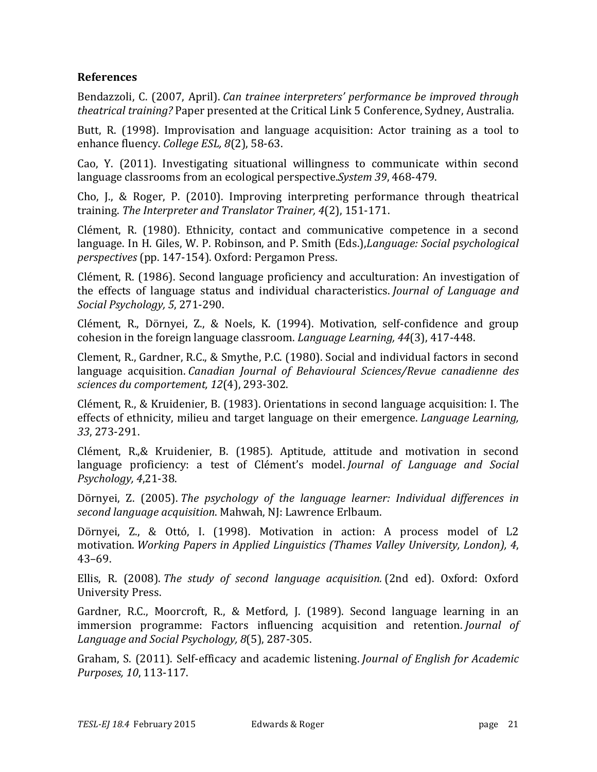## **References**

Bendazzoli, C. (2007, April). *Can trainee interpreters' performance be improved through theatrical training?* Paper presented at the Critical Link 5 Conference, Sydney, Australia.

Butt, R. (1998). Improvisation and language acquisition: Actor training as a tool to enhance fluency. *College ESL, 8*(2), 58-63.

Cao, Y.  $(2011)$ . Investigating situational willingness to communicate within second language classrooms from an ecological perspective.*System* 39, 468-479.

Cho, J., & Roger, P. (2010). Improving interpreting performance through theatrical training. *The Interpreter and Translator Trainer, 4*(2), 151-171.

Clément, R. (1980). Ethnicity, contact and communicative competence in a second language. In H. Giles, W. P. Robinson, and P. Smith (Eds.), *Language: Social psychological perspectives* (pp. 147-154). Oxford: Pergamon Press.

Clément, R. (1986). Second language proficiency and acculturation: An investigation of the effects of language status and individual characteristics. *Journal of Language and Social Psychology, 5*, 271-290.

Clément, R., Dörnyei, Z., & Noels, K. (1994). Motivation, self-confidence and group cohesion in the foreign language classroom. *Language Learning*, 44(3), 417-448.

Clement, R., Gardner, R.C., & Smythe, P.C. (1980). Social and individual factors in second language acquisition. *Canadian Journal of Behavioural Sciences/Revue canadienne des sciences du comportement, 12*(4), 293-302.

Clément, R., & Kruidenier, B. (1983). Orientations in second language acquisition: I. The effects of ethnicity, milieu and target language on their emergence. *Language Learning*, *33*, 273-291.

Clément, R.,& Kruidenier, B. (1985). Aptitude, attitude and motivation in second language proficiency: a test of Clément's model. *Journal of Language and Social Psychology, 4*,21-38.

Dörnyei, Z. (2005). *The psychology of the language learner: Individual differences in second language acquisition*. Mahwah, NJ: Lawrence Erlbaum.

Dörnyei, Z., & Ottó, I. (1998). Motivation in action: A process model of L2 motivation. *Working Papers in Applied Linguistics (Thames Valley University, London), 4*, 43–69.

Ellis, R. (2008). *The study of second language acquisition.* (2nd ed). Oxford: Oxford University Press.

Gardner, R.C., Moorcroft, R., & Metford, J. (1989). Second language learning in an immersion programme: Factors influencing acquisition and retention. *Journal of Language and Social Psychology, 8*(5), 287-305.

Graham, S. (2011). Self-efficacy and academic listening. *Journal of English for Academic Purposes, 10*, 113-117.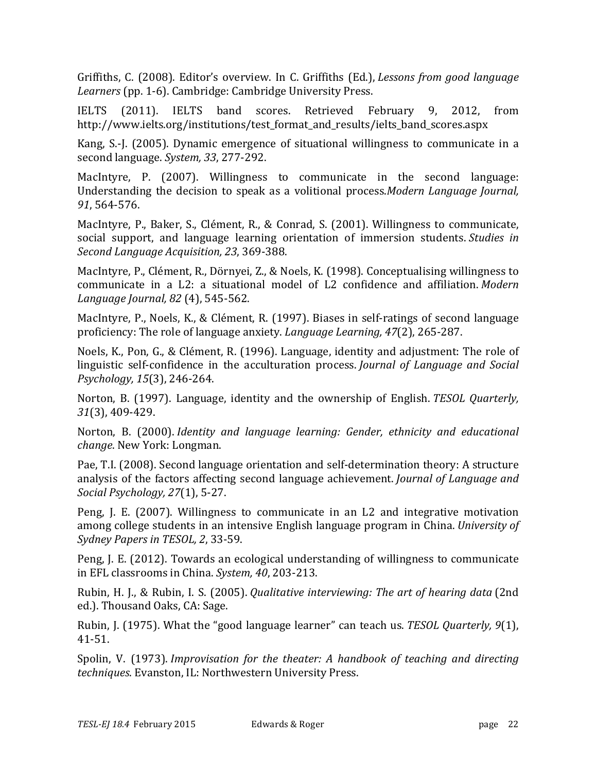Griffiths, C. (2008). Editor's overview. In C. Griffiths (Ed.), *Lessons from good language* Learners (pp. 1-6). Cambridge: Cambridge University Press.

IELTS (2011). IELTS band scores. Retrieved February 9, 2012, from http://www.ielts.org/institutions/test\_format\_and\_results/ielts\_band\_scores.aspx

Kang, S.-J. (2005). Dynamic emergence of situational willingness to communicate in a second language. *System*, 33, 277-292.

MacIntyre, P.  $(2007)$ . Willingness to communicate in the second language: Understanding the decision to speak as a volitional process.*Modern Language Journal*, *91*, 564-576.

MacIntyre, P., Baker, S., Clément, R., & Conrad, S. (2001). Willingness to communicate, social support, and language learning orientation of immersion students. *Studies in Second Language Acquisition, 23*, 369-388.

MacIntyre, P., Clément, R., Dörnyei, Z., & Noels, K. (1998). Conceptualising willingness to communicate in a L2: a situational model of L2 confidence and affiliation. Modern *Language Journal, 82* (4), 545-562.

MacIntyre, P., Noels, K., & Clément, R. (1997). Biases in self-ratings of second language proficiency: The role of language anxiety. *Language Learning*, 47(2), 265-287.

Noels, K., Pon, G., & Clément, R. (1996). Language, identity and adjustment: The role of linguistic self-confidence in the acculturation process. *Journal of Language and Social Psychology, 15*(3), 246-264.

Norton, B. (1997). Language, identity and the ownership of English. *TESOL Quarterly*, *31*(3), 409-429.

Norton, B. (2000). *Identity and language learning: Gender, ethnicity and educational change*. New York: Longman.

Pae, T.I. (2008). Second language orientation and self-determination theory: A structure analysis of the factors affecting second language achievement. *Journal of Language and Social Psychology, 27*(1), 5-27.

Peng, J. E.  $(2007)$ . Willingness to communicate in an L2 and integrative motivation among college students in an intensive English language program in China. *University of Sydney Papers in TESOL, 2*, 33-59.

Peng, J. E. (2012). Towards an ecological understanding of willingness to communicate in EFL classrooms in China. *System, 40,* 203-213.

Rubin, H. J., & Rubin, I. S. (2005). *Qualitative interviewing: The art of hearing data* (2nd ed.). Thousand Oaks, CA: Sage.

Rubin, J. (1975). What the "good language learner" can teach us. *TESOL Quarterly*, 9(1), 41-51.

Spolin, V. (1973). *Improvisation for the theater: A handbook of teaching and directing techniques*. Evanston, IL: Northwestern University Press.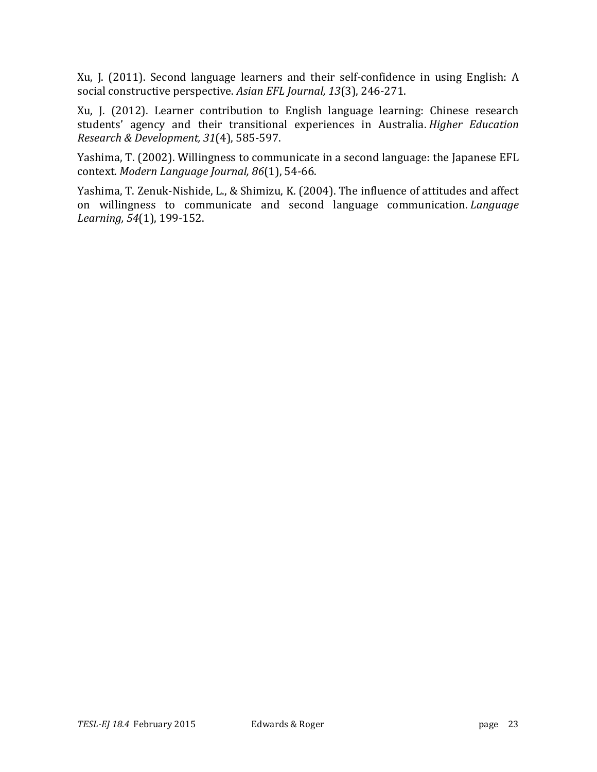Xu, J. (2011). Second language learners and their self-confidence in using English: A social constructive perspective. Asian EFL Journal, 13(3), 246-271.

Xu, J. (2012). Learner contribution to English language learning: Chinese research students' agency and their transitional experiences in Australia. *Higher Education Research & Development, 31*(4), 585-597.

Yashima, T. (2002). Willingness to communicate in a second language: the Japanese EFL context. *Modern Language Journal, 86*(1), 54-66.

Yashima, T. Zenuk-Nishide, L., & Shimizu, K. (2004). The influence of attitudes and affect on willingness to communicate and second language communication. *Language Learning, 54*(1), 199-152.